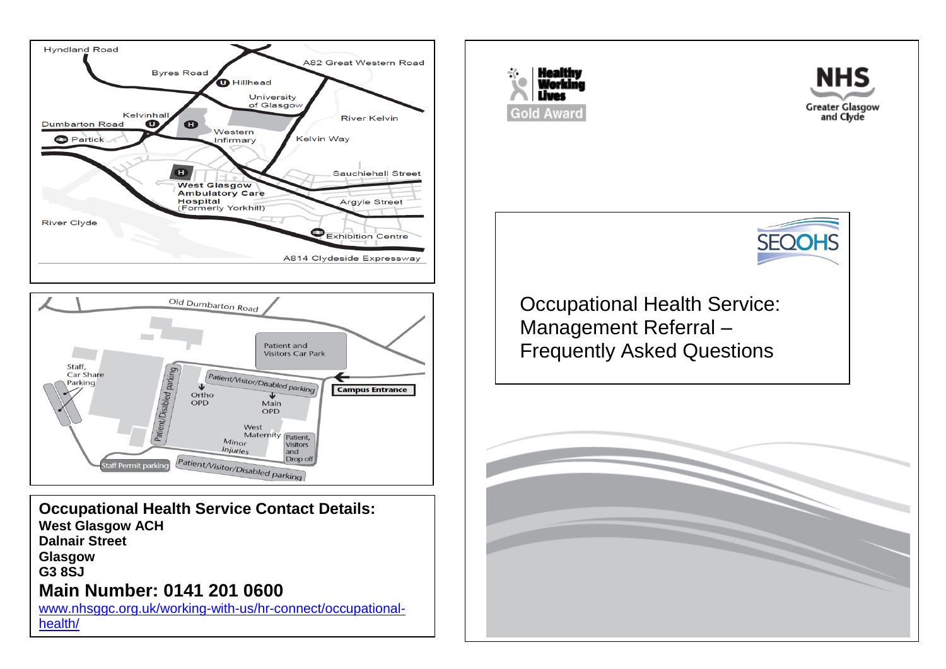



**Occupational Health Service Contact Details: West Glasgow ACH Dalnair Street Glasgow G3 8SJ Main Number: 0141 201 0600**

[www.nhsggc.org.uk/working-with-us/hr-connect/occupational](http://www.nhsggc.org.uk/working-with-us/hr-connect/occupational-health/)[health/](http://www.nhsggc.org.uk/working-with-us/hr-connect/occupational-health/)